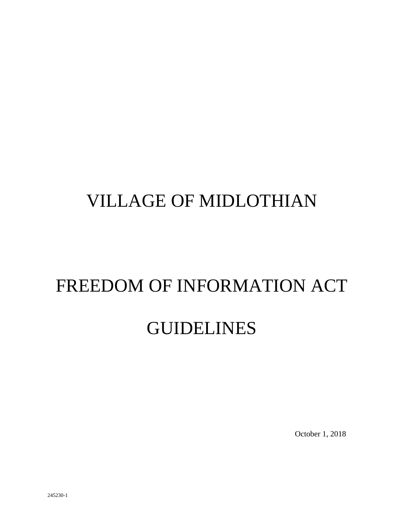# VILLAGE OF MIDLOTHIAN

# FREEDOM OF INFORMATION ACT

# GUIDELINES

October 1, 2018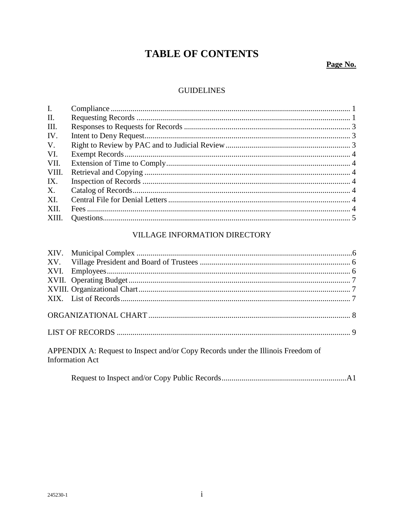## **TABLE OF CONTENTS**

## Page No.

### **GUIDELINES**

| Ι.          |  |
|-------------|--|
| II.         |  |
| III.        |  |
| IV.         |  |
| $V_{\cdot}$ |  |
| VI.         |  |
| VII.        |  |
| VIII.       |  |
| IX.         |  |
| X.          |  |
| XI.         |  |
| XII.        |  |
| XIII.       |  |
|             |  |

### VILLAGE INFORMATION DIRECTORY

APPENDIX A: Request to Inspect and/or Copy Records under the Illinois Freedom of **Information Act** 

|--|--|--|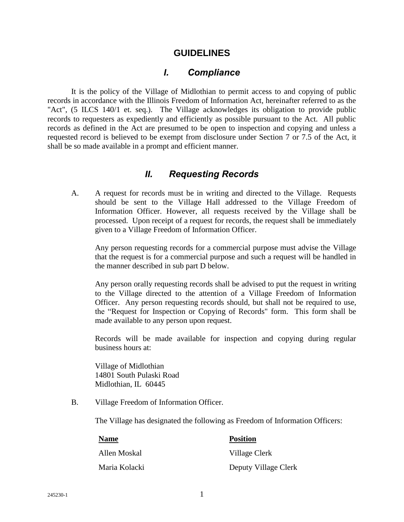#### **GUIDELINES**

#### *I. Compliance*

It is the policy of the Village of Midlothian to permit access to and copying of public records in accordance with the Illinois Freedom of Information Act, hereinafter referred to as the "Act", (5 ILCS 140/1 et. seq.). The Village acknowledges its obligation to provide public records to requesters as expediently and efficiently as possible pursuant to the Act. All public records as defined in the Act are presumed to be open to inspection and copying and unless a requested record is believed to be exempt from disclosure under Section 7 or 7.5 of the Act, it shall be so made available in a prompt and efficient manner.

### *II. Requesting Records*

A. A request for records must be in writing and directed to the Village. Requests should be sent to the Village Hall addressed to the Village Freedom of Information Officer. However, all requests received by the Village shall be processed. Upon receipt of a request for records, the request shall be immediately given to a Village Freedom of Information Officer.

Any person requesting records for a commercial purpose must advise the Village that the request is for a commercial purpose and such a request will be handled in the manner described in sub part D below.

Any person orally requesting records shall be advised to put the request in writing to the Village directed to the attention of a Village Freedom of Information Officer. Any person requesting records should, but shall not be required to use, the "Request for Inspection or Copying of Records" form. This form shall be made available to any person upon request.

Records will be made available for inspection and copying during regular business hours at:

Village of Midlothian 14801 South Pulaski Road Midlothian, IL 60445

B. Village Freedom of Information Officer.

The Village has designated the following as Freedom of Information Officers:

| <b>Name</b>   | <b>Position</b>      |
|---------------|----------------------|
| Allen Moskal  | Village Clerk        |
| Maria Kolacki | Deputy Village Clerk |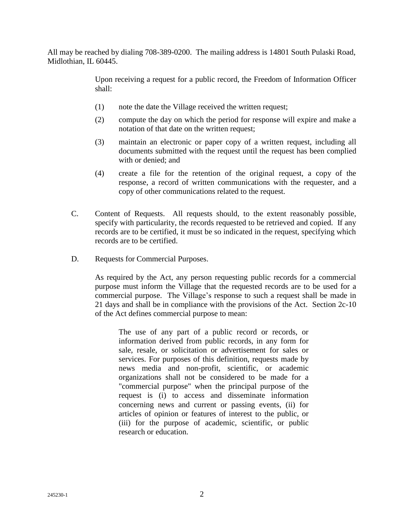All may be reached by dialing 708-389-0200. The mailing address is 14801 South Pulaski Road, Midlothian, IL 60445.

> Upon receiving a request for a public record, the Freedom of Information Officer shall:

- (1) note the date the Village received the written request;
- (2) compute the day on which the period for response will expire and make a notation of that date on the written request;
- (3) maintain an electronic or paper copy of a written request, including all documents submitted with the request until the request has been complied with or denied; and
- (4) create a file for the retention of the original request, a copy of the response, a record of written communications with the requester, and a copy of other communications related to the request.
- C. Content of Requests. All requests should, to the extent reasonably possible, specify with particularity, the records requested to be retrieved and copied. If any records are to be certified, it must be so indicated in the request, specifying which records are to be certified.
- D. Requests for Commercial Purposes.

As required by the Act, any person requesting public records for a commercial purpose must inform the Village that the requested records are to be used for a commercial purpose. The Village's response to such a request shall be made in 21 days and shall be in compliance with the provisions of the Act. Section 2c-10 of the Act defines commercial purpose to mean:

The use of any part of a public record or records, or information derived from public records, in any form for sale, resale, or solicitation or advertisement for sales or services. For purposes of this definition, requests made by news media and non-profit, scientific, or academic organizations shall not be considered to be made for a "commercial purpose" when the principal purpose of the request is (i) to access and disseminate information concerning news and current or passing events, (ii) for articles of opinion or features of interest to the public, or (iii) for the purpose of academic, scientific, or public research or education.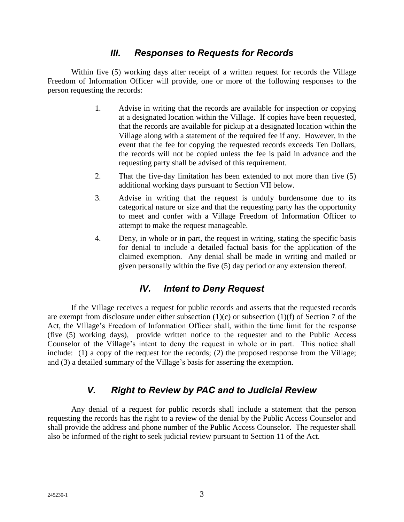## *III. Responses to Requests for Records*

Within five (5) working days after receipt of a written request for records the Village Freedom of Information Officer will provide, one or more of the following responses to the person requesting the records:

- 1. Advise in writing that the records are available for inspection or copying at a designated location within the Village. If copies have been requested, that the records are available for pickup at a designated location within the Village along with a statement of the required fee if any. However, in the event that the fee for copying the requested records exceeds Ten Dollars, the records will not be copied unless the fee is paid in advance and the requesting party shall be advised of this requirement.
- 2. That the five-day limitation has been extended to not more than five (5) additional working days pursuant to Section VII below.
- 3. Advise in writing that the request is unduly burdensome due to its categorical nature or size and that the requesting party has the opportunity to meet and confer with a Village Freedom of Information Officer to attempt to make the request manageable.
- 4. Deny, in whole or in part, the request in writing, stating the specific basis for denial to include a detailed factual basis for the application of the claimed exemption. Any denial shall be made in writing and mailed or given personally within the five (5) day period or any extension thereof.

## *IV. Intent to Deny Request*

If the Village receives a request for public records and asserts that the requested records are exempt from disclosure under either subsection (1)(c) or subsection (1)(f) of Section 7 of the Act, the Village's Freedom of Information Officer shall, within the time limit for the response (five (5) working days), provide written notice to the requester and to the Public Access Counselor of the Village's intent to deny the request in whole or in part. This notice shall include: (1) a copy of the request for the records; (2) the proposed response from the Village; and (3) a detailed summary of the Village's basis for asserting the exemption.

## *V. Right to Review by PAC and to Judicial Review*

Any denial of a request for public records shall include a statement that the person requesting the records has the right to a review of the denial by the Public Access Counselor and shall provide the address and phone number of the Public Access Counselor. The requester shall also be informed of the right to seek judicial review pursuant to Section 11 of the Act.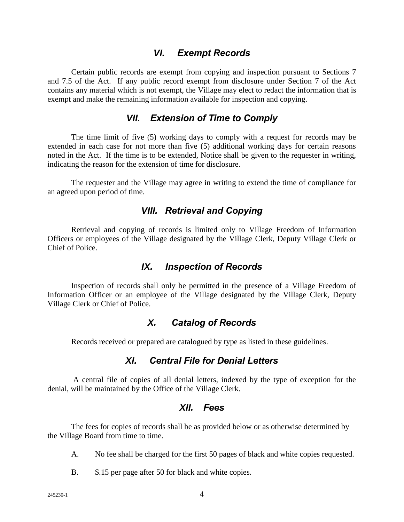#### *VI. Exempt Records*

Certain public records are exempt from copying and inspection pursuant to Sections 7 and 7.5 of the Act. If any public record exempt from disclosure under Section 7 of the Act contains any material which is not exempt, the Village may elect to redact the information that is exempt and make the remaining information available for inspection and copying.

### *VII. Extension of Time to Comply*

The time limit of five (5) working days to comply with a request for records may be extended in each case for not more than five (5) additional working days for certain reasons noted in the Act. If the time is to be extended, Notice shall be given to the requester in writing, indicating the reason for the extension of time for disclosure.

The requester and the Village may agree in writing to extend the time of compliance for an agreed upon period of time.

#### *VIII. Retrieval and Copying*

Retrieval and copying of records is limited only to Village Freedom of Information Officers or employees of the Village designated by the Village Clerk, Deputy Village Clerk or Chief of Police.

### *IX. Inspection of Records*

Inspection of records shall only be permitted in the presence of a Village Freedom of Information Officer or an employee of the Village designated by the Village Clerk, Deputy Village Clerk or Chief of Police.

### *X. Catalog of Records*

Records received or prepared are catalogued by type as listed in these guidelines.

### *XI. Central File for Denial Letters*

A central file of copies of all denial letters, indexed by the type of exception for the denial, will be maintained by the Office of the Village Clerk.

## *XII. Fees*

The fees for copies of records shall be as provided below or as otherwise determined by the Village Board from time to time.

- A. No fee shall be charged for the first 50 pages of black and white copies requested.
- B.  $\$\,15$  per page after 50 for black and white copies.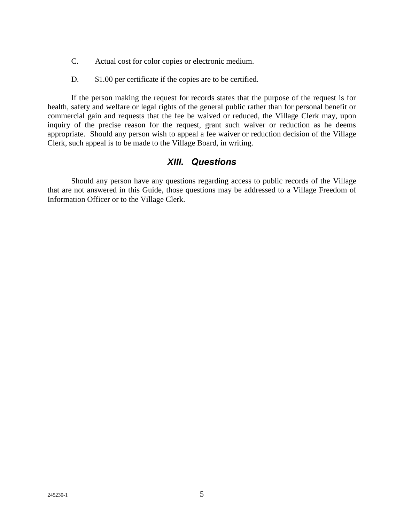- C. Actual cost for color copies or electronic medium.
- D. \$1.00 per certificate if the copies are to be certified.

If the person making the request for records states that the purpose of the request is for health, safety and welfare or legal rights of the general public rather than for personal benefit or commercial gain and requests that the fee be waived or reduced, the Village Clerk may, upon inquiry of the precise reason for the request, grant such waiver or reduction as he deems appropriate. Should any person wish to appeal a fee waiver or reduction decision of the Village Clerk, such appeal is to be made to the Village Board, in writing.

## *XIII. Questions*

Should any person have any questions regarding access to public records of the Village that are not answered in this Guide, those questions may be addressed to a Village Freedom of Information Officer or to the Village Clerk.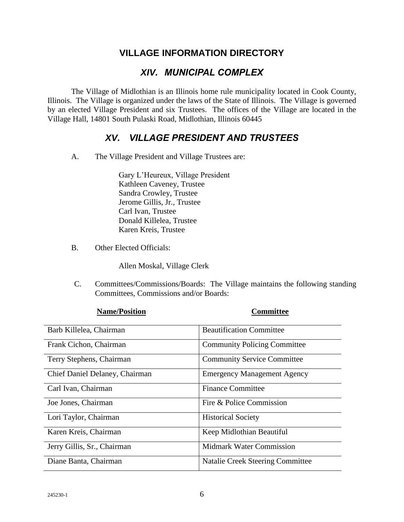## **VILLAGE INFORMATION DIRECTORY**

## *XIV. MUNICIPAL COMPLEX*

The Village of Midlothian is an Illinois home rule municipality located in Cook County, Illinois. The Village is organized under the laws of the State of Illinois. The Village is governed by an elected Village President and six Trustees. The offices of the Village are located in the Village Hall, 14801 South Pulaski Road, Midlothian, Illinois 60445

## *XV. VILLAGE PRESIDENT AND TRUSTEES*

A. The Village President and Village Trustees are:

Gary L'Heureux, Village President Kathleen Caveney, Trustee Sandra Crowley, Trustee Jerome Gillis, Jr., Trustee Carl Ivan, Trustee Donald Killelea, Trustee Karen Kreis, Trustee

B. Other Elected Officials:

Allen Moskal, Village Clerk

C. Committees/Commissions/Boards: The Village maintains the following standing Committees, Commissions and/or Boards:

| таніслі означн                 | Commute                                 |
|--------------------------------|-----------------------------------------|
| Barb Killelea, Chairman        | <b>Beautification Committee</b>         |
| Frank Cichon, Chairman         | <b>Community Policing Committee</b>     |
| Terry Stephens, Chairman       | <b>Community Service Committee</b>      |
| Chief Daniel Delaney, Chairman | <b>Emergency Management Agency</b>      |
| Carl Ivan, Chairman            | <b>Finance Committee</b>                |
| Joe Jones, Chairman            | Fire & Police Commission                |
| Lori Taylor, Chairman          | <b>Historical Society</b>               |
| Karen Kreis, Chairman          | Keep Midlothian Beautiful               |
| Jerry Gillis, Sr., Chairman    | <b>Midmark Water Commission</b>         |
| Diane Banta, Chairman          | <b>Natalie Creek Steering Committee</b> |

**Name/Position Committee**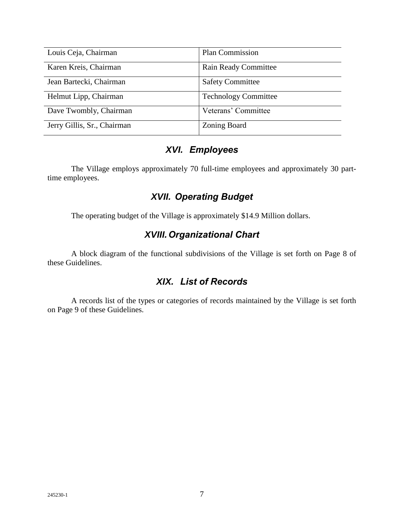| Louis Ceja, Chairman        | Plan Commission             |
|-----------------------------|-----------------------------|
| Karen Kreis, Chairman       | <b>Rain Ready Committee</b> |
| Jean Bartecki, Chairman     | <b>Safety Committee</b>     |
| Helmut Lipp, Chairman       | <b>Technology Committee</b> |
| Dave Twombly, Chairman      | Veterans' Committee         |
| Jerry Gillis, Sr., Chairman | Zoning Board                |

## *XVI. Employees*

The Village employs approximately 70 full-time employees and approximately 30 parttime employees.

## *XVII. Operating Budget*

The operating budget of the Village is approximately \$14.9 Million dollars.

## *XVIII.Organizational Chart*

A block diagram of the functional subdivisions of the Village is set forth on Page 8 of these Guidelines.

## *XIX. List of Records*

A records list of the types or categories of records maintained by the Village is set forth on Page 9 of these Guidelines.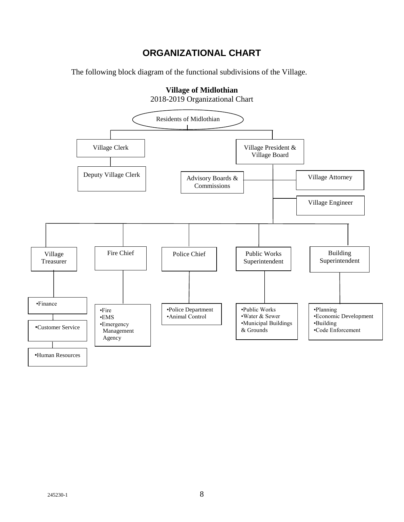## **ORGANIZATIONAL CHART**

The following block diagram of the functional subdivisions of the Village.

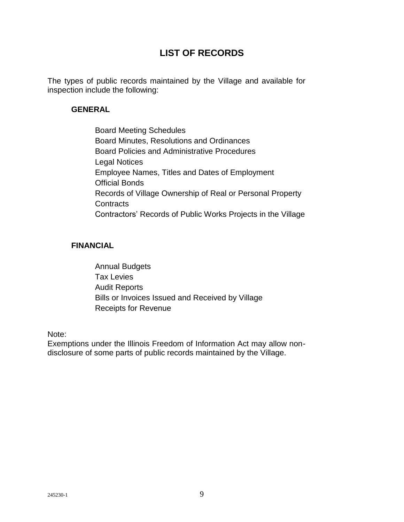## **LIST OF RECORDS**

The types of public records maintained by the Village and available for inspection include the following:

#### **GENERAL**

Board Meeting Schedules Board Minutes, Resolutions and Ordinances Board Policies and Administrative Procedures Legal Notices Employee Names, Titles and Dates of Employment Official Bonds Records of Village Ownership of Real or Personal Property **Contracts** Contractors' Records of Public Works Projects in the Village

#### **FINANCIAL**

Annual Budgets Tax Levies Audit Reports Bills or Invoices Issued and Received by Village Receipts for Revenue

Note:

Exemptions under the Illinois Freedom of Information Act may allow nondisclosure of some parts of public records maintained by the Village.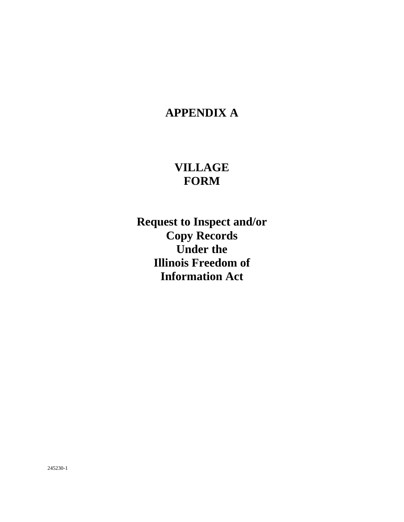## **APPENDIX A**

## **VILLAGE FORM**

**Request to Inspect and/or Copy Records Under the Illinois Freedom of Information Act**